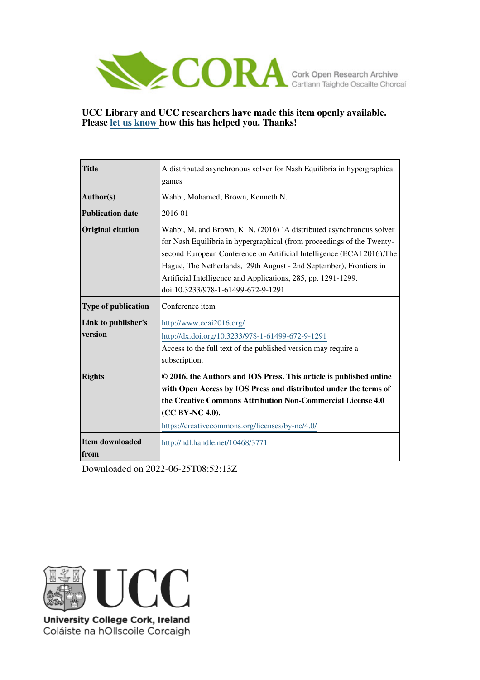

# **UCC Library and UCC researchers have made this item openly available. Please [let us know h](https://libguides.ucc.ie/openaccess/impact?suffix=3771&title=A distributed asynchronous solver for Nash Equilibria in hypergraphical games)ow this has helped you. Thanks!**

| <b>Title</b>                   | A distributed asynchronous solver for Nash Equilibria in hypergraphical                                                                                                                                                                                                                                                                                                                               |  |  |  |
|--------------------------------|-------------------------------------------------------------------------------------------------------------------------------------------------------------------------------------------------------------------------------------------------------------------------------------------------------------------------------------------------------------------------------------------------------|--|--|--|
|                                | games                                                                                                                                                                                                                                                                                                                                                                                                 |  |  |  |
| Author(s)                      | Wahbi, Mohamed; Brown, Kenneth N.                                                                                                                                                                                                                                                                                                                                                                     |  |  |  |
| <b>Publication date</b>        | 2016-01                                                                                                                                                                                                                                                                                                                                                                                               |  |  |  |
| <b>Original citation</b>       | Wahbi, M. and Brown, K. N. (2016) 'A distributed asynchronous solver<br>for Nash Equilibria in hypergraphical (from proceedings of the Twenty-<br>second European Conference on Artificial Intelligence (ECAI 2016), The<br>Hague, The Netherlands, 29th August - 2nd September), Frontiers in<br>Artificial Intelligence and Applications, 285, pp. 1291-1299.<br>doi:10.3233/978-1-61499-672-9-1291 |  |  |  |
| <b>Type of publication</b>     | Conference item                                                                                                                                                                                                                                                                                                                                                                                       |  |  |  |
| Link to publisher's<br>version | http://www.ecai2016.org/<br>http://dx.doi.org/10.3233/978-1-61499-672-9-1291<br>Access to the full text of the published version may require a<br>subscription.                                                                                                                                                                                                                                       |  |  |  |
| <b>Rights</b>                  | © 2016, the Authors and IOS Press. This article is published online<br>with Open Access by IOS Press and distributed under the terms of<br>the Creative Commons Attribution Non-Commercial License 4.0<br>(CC BY-NC 4.0).<br>https://creativecommons.org/licenses/by-nc/4.0/                                                                                                                          |  |  |  |
| Item downloaded<br>from        | http://hdl.handle.net/10468/3771                                                                                                                                                                                                                                                                                                                                                                      |  |  |  |

Downloaded on 2022-06-25T08:52:13Z



University College Cork, Ireland Coláiste na hOllscoile Corcaigh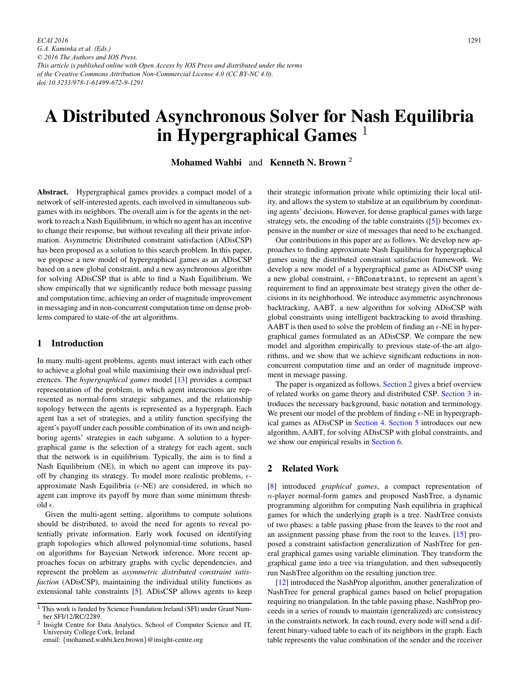# A Distributed Asynchronous Solver for Nash Equilibria in Hypergraphical Games  $<sup>1</sup>$ </sup>

Mohamed Wahbi and Kenneth N. Brown <sup>2</sup>

Abstract. Hypergraphical games provides a compact model of a network of self-interested agents, each involved in simultaneous subgames with its neighbors. The overall aim is for the agents in the network to reach a Nash Equilibrium, in which no agent has an incentive to change their response, but without revealing all their private information. Asymmetric Distributed constraint satisfaction (ADisCSP) has been proposed as a solution to this search problem. In this paper, we propose a new model of hypergraphical games as an ADisCSP based on a new global constraint, and a new asynchronous algorithm for solving ADisCSP that is able to find a Nash Equilibrium. We show empirically that we significantly reduce both message passing and computation time, achieving an order of magnitude improvement in messaging and in non-concurrent computation time on dense problems compared to state-of-the art algorithms.

#### 1 Introduction

In many multi-agent problems, agents must interact with each other to achieve a global goal while maximising their own individual preferences. The *hypergraphical games* model [\[13\]](#page-9-0) provides a compact representation of the problem, in which agent interactions are represented as normal-form strategic subgames, and the relationship topology between the agents is represented as a hypergraph. Each agent has a set of strategies, and a utility function specifying the agent's payoff under each possible combination of its own and neighboring agents' strategies in each subgame. A solution to a hypergraphical game is the selection of a strategy for each agent, such that the network is in equilibrium. Typically, the aim is to find a Nash Equilibrium (NE), in which no agent can improve its payoff by changing its strategy. To model more realistic problems,  $\epsilon$ approximate Nash Equilibria ( $\epsilon$ -NE) are considered, in which no agent can improve its payoff by more than some minimum threshold  $\epsilon$ .

Given the multi-agent setting, algorithms to compute solutions should be distributed, to avoid the need for agents to reveal potentially private information. Early work focused on identifying graph topologies which allowed polynomial-time solutions, based on algorithms for Bayesian Network inference. More recent approaches focus on arbitrary graphs with cyclic dependencies, and represent the problem as *asymmetric distributed constraint satisfaction* (ADisCSP), maintaining the individual utility functions as extensional table constraints [\[5\]](#page-9-0). ADisCSP allows agents to keep

email: {mohamed.wahbi,ken.brown}@insight-centre.org

their strategic information private while optimizing their local utility, and allows the system to stabilize at an equilibrium by coordinating agents' decisions. However, for dense graphical games with large strategy sets, the encoding of the table constraints ([\[5\]](#page-9-0)) becomes expensive in the number or size of messages that need to be exchanged.

Our contributions in this paper are as follows. We develop new approaches to finding approximate Nash Equilibria for hypergraphical games using the distributed constraint satisfaction framework. We develop a new model of a hypergraphical game as ADisCSP using a new global constraint,  $\epsilon$ -BRConstraint, to represent an agent's requirement to find an approximate best strategy given the other decisions in its neighborhood. We introduce asymmetric asynchronous backtracking, AABT, a new algorithm for solving ADisCSP with global constraints using intelligent backtracking to avoid thrashing. AABT is then used to solve the problem of finding an  $\epsilon$ -NE in hypergraphical games formulated as an ADisCSP. We compare the new model and algorithm empirically to previous state-of-the-art algorithms, and we show that we achieve significant reductions in nonconcurrent computation time and an order of magnitude improvement in message passing.

The paper is organized as follows. Section 2 gives a brief overview of related works on game theory and distributed CSP. [Section 3](#page-2-0) introduces the necessary background, basic notation and terminology. We present our model of the problem of finding  $\epsilon$ -NE in hypergraphical games as ADisCSP in [Section 4.](#page-3-0) [Section 5](#page-4-0) introduces our new algorithm, AABT, for solving ADisCSP with global constraints, and we show our empirical results in [Section 6.](#page-7-0)

#### 2 Related Work

[\[8\]](#page-9-0) introduced *graphical games*, a compact representation of n-player normal-form games and proposed NashTree, a dynamic programming algorithm for computing Nash equilibria in graphical games for which the underlying graph is a tree. NashTree consists of two phases: a table passing phase from the leaves to the root and an assignment passing phase from the root to the leaves. [\[15\]](#page-9-0) proposed a constraint satisfaction generalization of NashTree for general graphical games using variable elimination. They transform the graphical game into a tree via triangulation, and then subsequently run NashTree algorithm on the resulting junction tree.

[\[12\]](#page-9-0) introduced the NashProp algorithm, another generalization of NashTree for general graphical games based on belief propagation requiring no triangulation. In the table passing phase, NashProp proceeds in a series of rounds to maintain (generalized) arc consistency in the constraints network. In each round, every node will send a different binary-valued table to each of its neighbors in the graph. Each table represents the value combination of the sender and the receiver

 $\overline{1}$  This work is funded by Science Foundation Ireland (SFI) under Grant Number SFI/12/RC/2289.

<sup>2</sup> Insight Centre for Data Analytics, School of Computer Science and IT, University College Cork, Ireland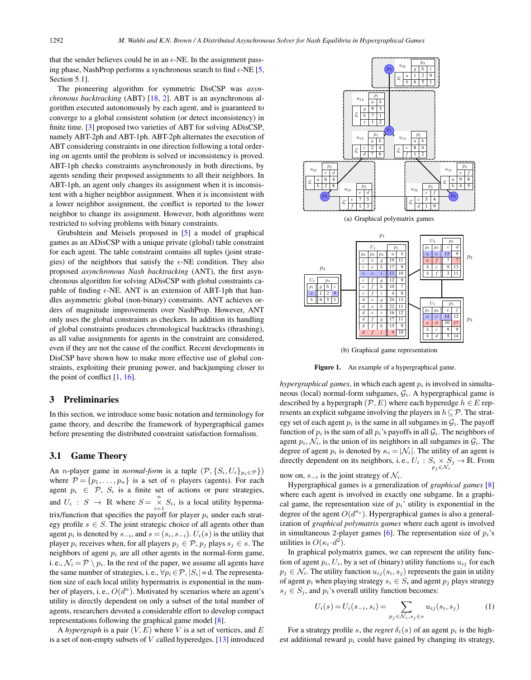<span id="page-2-0"></span>that the sender believes could be in an  $\epsilon$ -NE. In the assignment passing phase, NashProp performs a synchronous search to find  $\epsilon$ -NE [\[5,](#page-9-0) Section 5.1].

The pioneering algorithm for symmetric DisCSP was *asynchronous backtracking* (ABT) [\[18,](#page-9-0) [2\]](#page-9-0). ABT is an asynchronous algorithm executed autonomously by each agent, and is guaranteed to converge to a global consistent solution (or detect inconsistency) in finite time. [\[3\]](#page-9-0) proposed two varieties of ABT for solving ADisCSP, namely ABT-2ph and ABT-1ph. ABT-2ph alternates the execution of ABT considering constraints in one direction following a total ordering on agents until the problem is solved or inconsistency is proved. ABT-1ph checks constraints asynchronously in both directions, by agents sending their proposed assignments to all their neighbors. In ABT-1ph, an agent only changes its assignment when it is inconsistent with a higher neighbor assignment. When it is inconsistent with a lower neighbor assignment, the conflict is reported to the lower neighbor to change its assignment. However, both algorithms were restricted to solving problems with binary constraints.

Grubshtein and Meisels proposed in [\[5\]](#page-9-0) a model of graphical games as an ADisCSP with a unique private (global) table constraint for each agent. The table constraint contains all tuples (joint strategies) of the neighbors that satisfy the  $\epsilon$ -NE condition. They also proposed *asynchronous Nash backtracking* (ANT), the first asynchronous algorithm for solving ADisCSP with global constraints capable of finding  $\epsilon$ -NE. ANT is an extension of ABT-1ph that handles asymmetric global (non-binary) constraints. ANT achieves orders of magnitude improvements over NashProp. However, ANT only uses the global constraints as checkers. In addition its handling of global constraints produces chronological backtracks (thrashing), as all value assignments for agents in the constraint are considered, even if they are not the cause of the conflict. Recent developments in DisCSP have shown how to make more effective use of global constraints, exploiting their pruning power, and backjumping closer to the point of conflict [\[1,](#page-9-0) [16\]](#page-9-0).

### 3 Preliminaries

In this section, we introduce some basic notation and terminology for game theory, and describe the framework of hypergraphical games before presenting the distributed constraint satisfaction formalism.

#### 3.1 Game Theory

An *n*-player game in *normal-form* is a tuple  $(\mathcal{P}, \{S_i, U_i\}_{p_i \in \mathcal{P}}\})$ where  $\mathcal{P} = \{p_1, \ldots, p_n\}$  is a set of *n* players (agents). For each agent  $p_i \in \mathcal{P}$ ,  $S_i$  is a finite set of actions or pure strategies, and  $U_i$  :  $S \to \mathbb{R}$  where  $S = \sum_{i=1}^{n} S_i$ , is a local utility hypermatrix/function that specifies the payoff for player  $p_i$  under each strategy profile  $s \in S$ . The joint strategic choice of all agents other than agent  $p_i$  is denoted by  $s_{-i}$ , and  $s = (s_i, s_{-i})$ .  $U_i(s)$  is the utility that player  $p_i$  receives when, for all players  $p_j \in \mathcal{P}$ ,  $p_j$  plays  $s_j \in s$ . The neighbors of agent  $p_i$  are all other agents in the normal-form game, i. e.,  $\mathcal{N}_i = \mathcal{P} \setminus p_i$ . In the rest of the paper, we assume all agents have the same number of strategies, i. e.,  $\forall p_i \in \mathcal{P}, |S_i| = d$ . The representation size of each local utility hypermatrix is exponential in the number of players, i. e.,  $O(d^n)$ . Motivated by scenarios where an agent's utility is directly dependent on only a subset of the total number of agents, researchers devoted a considerable effort to develop compact representations following the graphical game model [\[8\]](#page-9-0).

A *hypergraph* is a pair  $(V, E)$  where V is a set of vertices, and E is a set of non-empty subsets of  $V$  called hyperedges. [\[13\]](#page-9-0) introduced



(a) Graphical polymatrix games



(b) Graphical game representation

Figure 1. An example of a hypergraphical game.

*hypergraphical games*, in which each agent  $p_i$  is involved in simultaneous (local) normal-form subgames,  $G_i$ . A hypergraphical game is described by a hypergraph  $(\mathcal{P}, E)$  where each hyperedge  $h \in E$  represents an explicit subgame involving the players in  $h \subseteq \mathcal{P}$ . The strategy set of each agent  $p_i$  is the same in all subgames in  $G_i$ . The payoff function of  $p_i$  is the sum of all  $p_i$ 's payoffs in all  $\mathcal{G}_i$ . The neighbors of agent  $p_i$ ,  $\mathcal{N}_i$ , is the union of its neighbors in all subgames in  $\mathcal{G}_i$ . The degree of agent  $p_i$  is denoted by  $\kappa_i = |\mathcal{N}_i|$ . The utility of an agent is directly dependent on its neighbors, i.e.,  $U_i: S_i \times S_j \to \mathbb{R}$ . From

now on,  $s_{-i}$  is the joint strategy of  $\mathcal{N}_i$ .

Hypergraphical games is a generalization of *graphical games* [\[8\]](#page-9-0) where each agent is involved in exactly one subgame. In a graphical game, the representation size of  $p_i$ ' utility is exponential in the degree of the agent  $O(d^{\kappa_i})$ . Hypergraphical games is also a generalization of *graphical polymatrix games* where each agent is involved in simultaneous 2-player games [\[6\]](#page-9-0). The representation size of  $p_i$ 's utilities is  $O(\kappa_i \cdot d^2)$ .

In graphical polymatrix games, we can represent the utility function of agent  $p_i$ ,  $U_i$ , by a set of (binary) utility functions  $u_{ij}$  for each  $p_j \in \mathcal{N}_i$ . The utility function  $u_{ij}(s_i, s_j)$  represents the gain in utility of agent  $p_i$  when playing strategy  $s_i \in S_i$  and agent  $p_j$  plays strategy  $s_i \in S_i$ , and  $p_i$ 's overall utility function becomes:

$$
U_i(s) = U_i(s_{-i}, s_i) = \sum_{p_j \in \mathcal{N}_i, s_j \in s} u_{ij}(s_i, s_j)
$$
 (1)

For a strategy profile s, the *regret*  $\delta_i(s)$  of an agent  $p_i$  is the highest additional reward  $p_i$  could have gained by changing its strategy,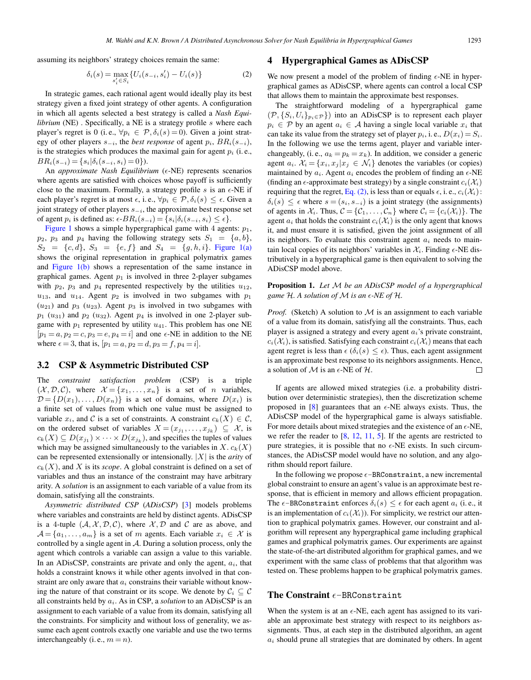<span id="page-3-0"></span>assuming its neighbors' strategy choices remain the same:

$$
\delta_i(s) = \max_{s_i' \in S_i} \{ U_i(s_{-i}, s_i') - U_i(s) \}
$$
 (2)

In strategic games, each rational agent would ideally play its best strategy given a fixed joint strategy of other agents. A configuration in which all agents selected a best strategy is called a *Nash Equilibrium* (NE). Specifically, a NE is a strategy profile s where each player's regret is 0 (i.e.,  $\forall p_i \in \mathcal{P}, \delta_i(s) = 0$ ). Given a joint strategy of other players  $s_{-i}$ , the *best response* of agent  $p_i$ ,  $BR_i(s_{-i})$ , is the strategies which produces the maximal gain for agent  $p_i$  (i.e.,  $BR_i(s_{-i}) = \{s_i | \delta_i(s_{-i}, s_i) = 0\}.$ 

An *approximate Nash Equilibrium* (e-NE) represents scenarios where agents are satisfied with choices whose payoff is sufficiently close to the maximum. Formally, a strategy profile  $s$  is an  $\epsilon$ -NE if each player's regret is at most  $\epsilon$ , i.e.,  $\forall p_i \in \mathcal{P}, \delta_i(s) \leq \epsilon$ . Given a joint strategy of other players  $\epsilon$ . joint strategy of other players  $s_{-i}$ , the approximate best response set of agent  $p_i$  is defined as:  $\epsilon$ - $BR_i(s_{-i}) = \{s_i | \delta_i(s_{-i}, s_i) \leq \epsilon\}.$ <br>Figure 1 shows a simple hypergraphical game with 4 agen

[Figure 1](#page-2-0) shows a simple hypergraphical game with 4 agents:  $p_1$ ,  $p_2$ ,  $p_3$  and  $p_4$  having the following strategy sets  $S_1 = \{a, b\},\$  $S_2 = \{c, d\}, S_3 = \{e, f\}$  and  $S_4 = \{g, h, i\}.$  [Figure 1\(a\)](#page-2-0) shows the original representation in graphical polymatrix games and [Figure 1\(b\)](#page-2-0) shows a representation of the same instance in graphical games. Agent  $p_1$  is involved in three 2-player subgames with  $p_2$ ,  $p_3$  and  $p_4$  represented respectively by the utilities  $u_{12}$ ,  $u_{13}$ , and  $u_{14}$ . Agent  $p_2$  is involved in two subgames with  $p_1$  $(u_{21})$  and  $p_3$   $(u_{23})$ . Agent  $p_3$  is involved in two subgames with  $p_1$  ( $u_{31}$ ) and  $p_2$  ( $u_{32}$ ). Agent  $p_4$  is involved in one 2-player subgame with  $p_1$  represented by utility  $u_{41}$ . This problem has one NE  $[p_1 = a, p_2 = c, p_3 = e, p_4 = i]$  and one  $\epsilon$ -NE in addition to the NE<br>where  $\epsilon = 3$  that is  $[n_1 = a, p_2 = d, p_3 = f, p_4 = i]$ where  $\epsilon = 3$ , that is,  $[p_1 = a, p_2 = d, p_3 = f, p_4 = i]$ .

#### 3.2 CSP & Asymmetric Distributed CSP

The *constraint satisfaction problem* (CSP) is a triple  $(X, \mathcal{D}, \mathcal{C})$ , where  $\mathcal{X} = \{x_1, \ldots, x_n\}$  is a set of *n* variables,  $\mathcal{D} = \{D(x_1), \ldots, D(x_n)\}\$ is a set of domains, where  $D(x_i)$  is a finite set of values from which one value must be assigned to variable  $x_i$ , and C is a set of constraints. A constraint  $c_k(X) \in \mathcal{C}$ , on the ordered subset of variables  $X = (x_{j_1}, \ldots, x_{j_k}) \subseteq \mathcal{X}$ , is  $c_k(X) \subseteq D(x_{j_1}) \times \cdots \times D(x_{j_k})$ , and specifies the tuples of values which may be assigned simultaneously to the variables in X.  $c_k(X)$ can be represented extensionally or intensionally. |X| is the *arity* of  $c_k(X)$ , and X is its *scope*. A global constraint is defined on a set of variables and thus an instance of the constraint may have arbitrary arity. A *solution* is an assignment to each variable of a value from its domain, satisfying all the constraints.

*Asymmetric distributed CSP* (*ADisCSP*) [\[3\]](#page-9-0) models problems where variables and constraints are held by distinct agents. ADisCSP is a 4-tuple  $(A, \mathcal{X}, \mathcal{D}, \mathcal{C})$ , where  $\mathcal{X}, \mathcal{D}$  and  $\mathcal{C}$  are as above, and  $\mathcal{A} = \{a_1, \ldots, a_m\}$  is a set of m agents. Each variable  $x_i \in \mathcal{X}$  is controlled by a single agent in  $A$ . During a solution process, only the agent which controls a variable can assign a value to this variable. In an ADisCSP, constraints are private and only the agent,  $a_i$ , that holds a constraint knows it while other agents involved in that constraint are only aware that  $a_i$  constrains their variable without knowing the nature of that constraint or its scope. We denote by  $C_i \subset C$ all constraints held by  $a_i$ . As in CSP, a *solution* to an ADisCSP is an assignment to each variable of a value from its domain, satisfying all the constraints. For simplicity and without loss of generality, we assume each agent controls exactly one variable and use the two terms interchangeably (i. e.,  $m = n$ ).

#### 4 Hypergraphical Games as ADisCSP

We now present a model of the problem of finding  $\epsilon$ -NE in hypergraphical games as ADisCSP, where agents can control a local CSP that allows them to maintain the approximate best responses.

The straightforward modeling of a hypergraphical game  $(\mathcal{P}, \{S_i, U_i\}_{p_i \in \mathcal{P}}\})$  into an ADisCSP is to represent each player  $p_i \in \mathcal{P}$  by an agent  $a_i \in \mathcal{A}$  having a single local variable  $x_i$  that can take its value from the strategy set of player  $p_i$ , i.e.,  $D(x_i) = S_i$ . In the following we use the terms agent, player and variable interchangeably, (i.e.,  $a_k = p_k = x_k$ ). In addition, we consider a generic agent  $a_i$ .  $\mathcal{X}_i = \{x_i, x_j | x_j \in \mathcal{N}_i\}$  denotes the variables (or copies) maintained by  $a_i$ . Agent  $a_i$  encodes the problem of finding an  $\epsilon$ -NE (finding an  $\epsilon$ -approximate best strategy) by a single constraint  $c_i(\mathcal{X}_i)$ <br>requiring that the regret Eq. (2) is less than or equals  $\epsilon$  i.e.,  $c_i(\mathcal{X}_i)$ requiring that the regret, Eq. (2), is less than or equals  $\epsilon$ , i.e.,  $c_i(\mathcal{X}_i)$ :<br> $\delta_{i}(s) \leq \epsilon$  where  $s - (s_i, s_{i_j})$  is a joint strategy (the assignments)  $\delta_i(s) \leq \epsilon$  where  $s = (s_i, s_{-i})$  is a joint strategy (the assignments)<br>of agents in  $\mathcal{X}$ . Thus  $\mathcal{C} = \mathcal{C}$ ,  $\mathcal{C}$  where  $\mathcal{C} = \{c_i(\mathcal{X})\}$ . The of agents in  $\mathcal{X}_i$ . Thus,  $\mathcal{C} = \{C_1, \ldots, C_n\}$  where  $C_i = \{c_i(\mathcal{X}_i)\}$ . The agent  $a_i$  that holds the constraint  $c_i(\mathcal{X}_i)$  is the only agent that knows it, and must ensure it is satisfied, given the joint assignment of all its neighbors. To evaluate this constraint agent  $a_i$  needs to maintain local copies of its neighbors' variables in  $\mathcal{X}_i$ . Finding  $\epsilon$ -NE distributively in a hypergraphical game is then equivalent to solving the ADisCSP model above.

#### Proposition 1. *Let* M *be an ADisCSP model of a hypergraphical* game  $H$ . A solution of  $M$  is an  $\epsilon$ -NE of  $H$ .

*Proof.* (Sketch) A solution to  $M$  is an assignment to each variable of a value from its domain, satisfying all the constraints. Thus, each player is assigned a strategy and every agent  $a_i$ 's private constraint,  $c_i(\mathcal{X}_i)$ , is satisfied. Satisfying each constraint  $c_i(\mathcal{X}_i)$  means that each agent regret is less than  $\epsilon$  ( $\delta_i(s) \leq \epsilon$ ). Thus, each agent assignment<br>is an approximate best response to its peighbors assignments. Hence is an approximate best response to its neighbors assignments. Hence, a solution of  $M$  is an  $\epsilon$ -NE of  $H$ .  $\Box$ 

If agents are allowed mixed strategies (i.e. a probability distribution over deterministic strategies), then the discretization scheme proposed in [\[8\]](#page-9-0) guarantees that an  $\epsilon$ -NE always exists. Thus, the ADisCSP model of the hypergraphical game is always satisfiable. For more details about mixed strategies and the existence of an  $\epsilon$ -NE, we refer the reader to  $[8, 12, 11, 5]$  $[8, 12, 11, 5]$  $[8, 12, 11, 5]$  $[8, 12, 11, 5]$  $[8, 12, 11, 5]$  $[8, 12, 11, 5]$  $[8, 12, 11, 5]$ . If the agents are restricted to pure strategies, it is possible that no  $\epsilon$ -NE exists. In such circumstances, the ADisCSP model would have no solution, and any algorithm should report failure.

In the following we propose  $\epsilon$ -BRConstraint, a new incremental global constraint to ensure an agent's value is an approximate best response, that is efficient in memory and allows efficient propagation. The  $\epsilon$ -BRConstraint enforces  $\delta_i(s) \leq \epsilon$  for each agent  $a_i$  (i.e., it is an implementation of  $c_i(X_i)$ ). For simplicity, we restrict our attenis an implementation of  $c_i(\mathcal{X}_i)$ ). For simplicity, we restrict our attention to graphical polymatrix games. However, our constraint and algorithm will represent any hypergraphical game including graphical games and graphical polymatrix games. Our experiments are against the state-of-the-art distributed algorithm for graphical games, and we experiment with the same class of problems that that algorithm was tested on. These problems happen to be graphical polymatrix games.

# The Constraint  $\epsilon$ -BRConstraint

When the system is at an  $\epsilon$ -NE, each agent has assigned to its variable an approximate best strategy with respect to its neighbors assignments. Thus, at each step in the distributed algorithm, an agent  $a_i$  should prune all strategies that are dominated by others. In agent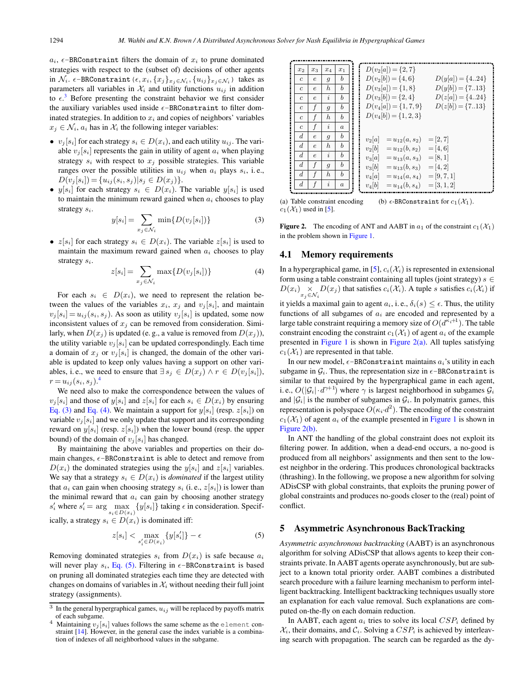(5)

<span id="page-4-0"></span> $a_i$ ,  $\epsilon$ -BRConstraint filters the domain of  $x_i$  to prune dominated strategies with respect to the (subset of) decisions of other agents in  $\mathcal{N}_i$ .  $\epsilon$ -BRConstraint ( $\epsilon, x_i, \{x_j\}_{x_j \in \mathcal{N}_i}, \{u_{ij}\}_{x_j \in \mathcal{N}_i}$ ) takes as parameters all variables in  $\mathcal{X}_i$  and utility functions  $u_{ij}$  in addition to  $\epsilon$ <sup>3</sup>. Before presenting the constraint behavior we first consider the auxiliary variables used inside  $\epsilon$ -BRConstraint to filter dominated strategies. In addition to  $x_i$  and copies of neighbors' variables  $x_i \in \mathcal{N}_i$ ,  $a_i$  has in  $\mathcal{X}_i$  the following integer variables:

- $v_i[s_i]$  for each strategy  $s_i \in D(x_i)$ , and each utility  $u_{ij}$ . The variable  $v_i$ [s<sub>i</sub>] represents the gain in utility of agent  $a_i$  when playing strategy  $s_i$  with respect to  $x_j$  possible strategies. This variable ranges over the possible utilities in  $u_{ij}$  when  $a_i$  plays  $s_i$ , i.e.,  $D(v_i[s_i]) = \{u_{ij}(s_i, s_j)|s_i \in D(x_i)\}.$
- $y[s_i]$  for each strategy  $s_i \in D(x_i)$ . The variable  $y[s_i]$  is used to maintain the minimum reward gained when  $a_i$  chooses to play strategy  $s_i$ .

$$
y[s_i] = \sum_{x_j \in \mathcal{N}_i} \min\{D(v_j[s_i])\} \tag{3}
$$

•  $z[s_i]$  for each strategy  $s_i \in D(x_i)$ . The variable  $z[s_i]$  is used to maintain the maximum reward gained when  $a_i$  chooses to play strategy  $s_i$ .

$$
z[s_i] = \sum_{x_j \in \mathcal{N}_i} \max\{D(v_j[s_i])\}
$$
 (4)

For each  $s_i \in D(x_i)$ , we need to represent the relation between the values of the variables  $x_i$ ,  $x_j$  and  $v_j[s_i]$ , and maintain  $v_j$   $[s_i] = u_{ij}(s_i, s_j)$ . As soon as utility  $v_j$   $[s_i]$  is updated, some now inconsistent values of  $x_i$  can be removed from consideration. Similarly, when  $D(x_i)$  is updated (e.g., a value is removed from  $D(x_i)$ ), the utility variable  $v_j[s_i]$  can be updated correspondingly. Each time a domain of  $x_j$  or  $v_j$   $[s_i]$  is changed, the domain of the other variable is updated to keep only values having a support on other variables, i.e., we need to ensure that  $\exists s_j \in D(x_j) \land r \in D(v_j[s_i]),$  $r = u_{ij}(s_i, s_j).^4$ <br>We need also

We need also to make the correspondence between the values of  $v_i[s_i]$  and those of  $y[s_i]$  and  $z[s_i]$  for each  $s_i \in D(x_i)$  by ensuring Eq. (3) and Eq. (4). We maintain a support for  $y[s_i]$  (resp.  $z[s_i]$ ) on variable  $v_j$  [ $s_i$ ] and we only update that support and its corresponding reward on  $y[s_i]$  (resp.  $z[s_i]$ ) when the lower bound (resp. the upper bound) of the domain of  $v_i[s_i]$  has changed.

By maintaining the above variables and properties on their domain changes,  $\epsilon$ -BRConstraint is able to detect and remove from  $D(x_i)$  the dominated strategies using the  $y[s_i]$  and  $z[s_i]$  variables. We say that a strategy  $s_i \in D(x_i)$  is *dominated* if the largest utility that  $a_i$  can gain when choosing strategy  $s_i$  (i.e.,  $z[s_i]$ ) is lower than the minimal reward that  $a_i$  can gain by choosing another strategy  $s'_i$  where  $s'_i = \arg \max_{s_i \in D(x_i)} \{y[s_i]\}$  taking  $\epsilon$  in consideration. Specifically, a strategy  $s_i \in D(x_i)$  is dominated iff:

$$
z[s_i] < \max_{s_i' \in D(x_i)} \{y[s_i']\} - \epsilon
$$

Removing dominated strategies 
$$
s_i
$$
 from  $D(x_i)$  is safe because  $a_i$  will never play  $s_i$ , Eq. (5). Filtering in  $\epsilon$ -BRConstraint is based on pruning all dominated strategies each time they are detected with changes on domains of variables in  $\mathcal{X}_i$  without needing their full joint strategy (assignments).

| $x_2$            | $x_3$        | $x_4$          | $x_1$            | $D(v_2[a]) = \{2, 7\}$                           |
|------------------|--------------|----------------|------------------|--------------------------------------------------|
| $\boldsymbol{c}$ | $\epsilon$   | $\overline{g}$ | b                | $D(v_2[b]) = \{4, 6\}$<br>$D(y[a]) = \{424\}$    |
| $\overline{c}$   | $\epsilon$   | h              | $\boldsymbol{b}$ | $D(v_3[a]) = \{1, 8\}$<br>$D(y[b]) = \{713\}$    |
| $\overline{c}$   | $\epsilon$   | i              | b                | $D(v_3[b]) = \{2, 4\}$<br>$D(z[a]) = \{424\}$    |
| $\overline{c}$   | f            | $\overline{g}$ | b                | $D(z[b]) = \{713\}$<br>$D(v_4[a]) = \{1, 7, 9\}$ |
| $\overline{c}$   | f            | h              | b                | $D(v_4[b]) = \{1, 2, 3\}$                        |
| $\boldsymbol{c}$ | $\mathbf{f}$ | i              | $\boldsymbol{a}$ |                                                  |
| $\boldsymbol{d}$ | $\epsilon$   | $\overline{g}$ | b                | $v_2[a]$<br>$=[2, 7]$<br>$=u_{12}(a,s_2)$        |
| $\boldsymbol{d}$ | $\epsilon$   | h              | $\boldsymbol{b}$ | $v_2[b]$<br>$=u_{12}(b,s_2)$<br>$=[4,6]$         |
| $\boldsymbol{d}$ | $\epsilon$   | i              | b                | $v_3[a]$<br>$=[8,1]$<br>$=u_{13}(a,s_3)$         |
| $\boldsymbol{d}$ | $\mathbf{f}$ | $\overline{g}$ | b                | $v_3[b]$<br>$=u_{13}(b, s_3)$<br>$=[4, 2]$       |
| $\boldsymbol{d}$ | f            | h              | $\boldsymbol{b}$ | $v_4[a]$<br>$=[9, 7, 1]$<br>$=u_{14}(a, s_4)$    |
| $\boldsymbol{d}$ | $\mathbf f$  | $\mathfrak{p}$ | $\boldsymbol{a}$ | $v_4[b]$<br>$=u_{14}(b, s_4)$<br>$=[3, 1, 2]$    |

(a) Table constraint encoding  $c_1(\mathcal{X}_1)$  used in [\[5\]](#page-9-0). (b)  $\epsilon$ -BRConstraint for  $c_1(\mathcal{X}_1)$ .

**Figure 2.** The encoding of ANT and AABT in  $a_1$  of the constraint  $c_1(\mathcal{X}_1)$ in the problem shown in [Figure 1.](#page-2-0)

#### 4.1 Memory requirements

In a hypergraphical game, in [\[5\]](#page-9-0),  $c_i(\mathcal{X}_i)$  is represented in extensional form using a table constraint containing all tuples (joint strategy)  $s \in$  $D(x_i) \times D(x_j)$  that satisfies  $c_i(\mathcal{X}_i)$ . A tuple s satisfies  $c_i(\mathcal{X}_i)$  if it yields a maximal gain to agent  $a_i$ , i. e.,  $\delta_i(s) \leq \epsilon$ . Thus, the utility functions of all subgames of  $a_i$  are encoded and represented by a functions of all subgames of  $a_i$  are encoded and represented by a large table constraint requiring a memory size of  $O(d^{\kappa_i+1})$ . The table constraint encoding the constraint  $c_1(\mathcal{X}_1)$  of agent  $a_i$  of the example presented in [Figure 1](#page-2-0) is shown in Figure  $2(a)$ . All tuples satisfying  $c_1(\mathcal{X}_1)$  are represented in that table.

In our new model,  $\epsilon$ -BRConstraint maintains  $a_i$ 's utility in each subgame in  $\mathcal{G}_i$ . Thus, the representation size in  $\epsilon$ -BRConstraint is similar to that required by the hypergraphical game in each agent, i. e.,  $O(|\mathcal{G}_i| \cdot d^{\gamma+1})$  where  $\gamma$  is largest neighborhood in subgames  $\mathcal{G}_i$ and  $|\mathcal{G}_i|$  is the number of subgames in  $\mathcal{G}_i$ . In polymatrix games, this representation is polyspace  $O(\kappa_i \cdot d^2)$ . The encoding of the constraint  $c_1(\mathcal{X}_1)$  of agent  $a_i$  of the example presented in [Figure 1](#page-2-0) is shown in Figure 2(b).

In ANT the handling of the global constraint does not exploit its filtering power. In addition, when a dead-end occurs, a no-good is produced from all neighbors' assignments and then sent to the lowest neighbor in the ordering. This produces chronological backtracks (thrashing). In the following, we propose a new algorithm for solving ADisCSP with global constraints, that exploits the pruning power of global constraints and produces no-goods closer to the (real) point of conflict.

#### 5 Asymmetric Asynchronous BackTracking

*Asymmetric asynchronous backtracking* (AABT) is an asynchronous algorithm for solving ADisCSP that allows agents to keep their constraints private. In AABT agents operate asynchronously, but are subject to a known total priority order. AABT combines a distributed search procedure with a failure learning mechanism to perform intelligent backtracking. Intelligent backtracking techniques usually store an explanation for each value removal. Such explanations are computed on-the-fly on each domain reduction.

In AABT, each agent  $a_i$  tries to solve its local  $CSP_i$  defined by  $\mathcal{X}_i$ , their domains, and  $\mathcal{C}_i$ . Solving a  $CSP_i$  is achieved by interleaving search with propagation. The search can be regarded as the dy-

 $^3\,$  In the general hypergraphical games,  $u_{ij}$  will be replaced by payoffs matrix of each subgame.

<sup>&</sup>lt;sup>4</sup> Maintaining  $v_j[s_i]$  values follows the same scheme as the element constraint [\[14\]](#page-9-0). However, in the general case the index variable is a combination of indexes of all neighborhood values in the subgame.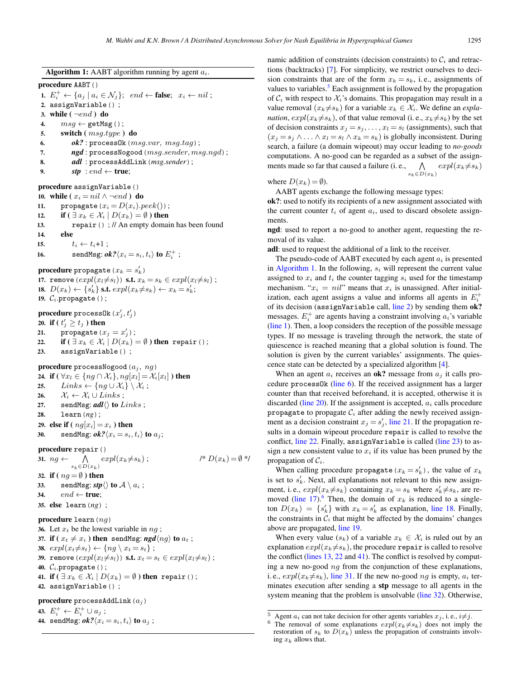<span id="page-5-0"></span>Algorithm 1: AABT algorithm running by agent  $a_i$ . procedure AABT() 1.  $E_i^+ \leftarrow \{a_j \mid a_i \in \mathcal{N}_j\}; \text{ end } \leftarrow \text{false}; \text{ } x_i \leftarrow \text{ nil};$ 2. assignVariable() ; 3. while  $(\neg end)$  do 4.  $msg \leftarrow \texttt{getMsg}()$ ; 5. switch  $(msq_type)$  do 6.  $\qquad \qquad \textit{ok?}: \texttt{processOk} \left(msg.var, msg.tag\right);$ 7. *ngd*: processNogood(msg.sender, msg.ngd); 8. *adl* : processAddLink(*msg.sender*); 9. **stp** : end  $\leftarrow$  **true**; procedure assignVariable() 10. while ( $x_i = nil \land \neg end$ ) do<br>11. propagate ( $x_i = D(x_i)$ . 11. propagate  $(x_i = D(x_i).peak())$ ;<br>12. if  $(\exists x_k \in \mathcal{X}_i | D(x_k) = \emptyset)$  then 12. if  $(\exists x_k \in \mathcal{X}_i | D(x_k) = \emptyset)$  then<br>13. repair () : // An empty domain repair() ; // An empty domain has been found 14. else 15.  $t_i \leftarrow t_i+1$ ;<br>16. sendMsg:  $\theta_i$ 16. sendMsg:  $ok? \langle x_i = s_i, t_i \rangle$  to  $E_i^+$ ; **procedure** propagate  $(x_k = s'_k)$ <br>17 **remove**  $(expl(x, \neq s_i))$  **s f**  $x_i$ 17. remove  $(expl(x_l\neq s_l))$  s.t.  $x_k = s_k \in expl(x_l\neq s_l)$ ; 18.  $D(x_k) \leftarrow \{s'_k\}$  s.t.  $expl(x_k \neq s_k) \leftarrow x_k = s'_k;$ <br>19. C. propagate (): 19.  $\mathcal{C}_i$ .propagate();  $\bold{procedure}$   $\text{processOk}\left(x_j',t_j'\right)$ 20. if (  $t'_j \geq t_j$  ) then 21. propagate  $(x_j = x'_j)$ ;<br>
22 if  $(\exists x_i \in \mathcal{Y} \mid D(x_i))$ 22. **if**  $(\exists x_k \in \mathcal{X}_i | D(x_k) = \emptyset)$  then repair();<br>23 assignVariable(); assignVariable(); procedure processNogood $(a_i, nq)$ 24. if  $(\forall x_l \in \{ng \cap \mathcal{X}_i\}, ng[x_l] = \mathcal{X}_i[x_l])$  then<br>25. Links  $\leftarrow \{ng \cup \mathcal{X}_i\} \setminus \mathcal{X}_i$ ;  $Links \leftarrow \{ng \cup \mathcal{X}_i\} \setminus \mathcal{X}_i ;$ 26.  $\mathcal{X}_i \leftarrow \mathcal{X}_i \cup Links;$ 27. sendMsg:  $\textit{adl}\langle\rangle$  to  $\textit{Links}$ ; 28. learn(*ng*); 29. else if  $\left(\right. ng[x_i] = x_i \right)$  then<br>30. sendMsg:  $ok? \langle x_i = s_i \rangle$ sendMsg:  $ok?$  $\langle x_i = s_i, t_i \rangle$  to  $a_i$ ; procedure repair() 31.  $ng \leftarrow \Lambda$  $\bigwedge_{s_k \in D(x_k)} expl(x_k \neq s_k)$ ;  $/^* D(x_k) = \emptyset$ \*/

32. if  $(ng = \emptyset)$  then<br>33. sendMsg: stn sendMsg:  $stp \langle \rangle$  to  $A \setminus a_i$ ; 34.  $end \leftarrow true$ : 35. else learn(*ng*) ;

procedure learn $(nq)$ 

36. Let  $x_t$  be the lowest variable in  $ng$ ; 37. if  $(x_t \neq x_i)$  then sendMsg:  $\mathit{ngd}(ng)$  to  $a_t$ ; 38.  $expl(x_t \neq s_t) \leftarrow \{ng \setminus x_t = s_t\};$ 39. remove  $(expl(x_l \neq s_l))$  s.t.  $x_t = s_t \in expl(x_l \neq s_l)$ ; 40.  $\mathcal{C}_i$ .propagate(); 41. if  $(\exists x_k \in \mathcal{X}_i | D(x_k) = \emptyset)$  then repair(); 42. assignVariable() ;

procedure processAddLink $(a_j)$ 

43.  $E_i^+ \leftarrow E_i^+ \cup a_j$ ;

44. sendMsg:  $ok?$  $\langle x_i = s_i, t_i \rangle$  to  $a_j$ ;

namic addition of constraints (decision constraints) to  $C_i$  and retractions (backtracks) [\[7\]](#page-9-0). For simplicity, we restrict ourselves to decision constraints that are of the form  $x_k = s_k$ , i.e., assignments of values to variables. $5$  Each assignment is followed by the propagation of  $C_i$  with respect to  $\mathcal{X}_i$ 's domains. This propagation may result in a value removal  $(x_k \neq s_k)$  for a variable  $x_k \in \mathcal{X}_i$ . We define an *explanation,*  $expl(x_k \neq s_k)$ *, of that value removal (i.e.,*  $x_k \neq s_k$ *) by the set* of decision constraints  $x_j = s_j, \ldots, x_l = s_l$  (assignments), such that  $(x_j = s_j \wedge \ldots \wedge x_l = s_l \wedge x_k = s_k)$  is globally inconsistent. During search, a failure (a domain wipeout) may occur leading to *no-goods* computations. A no-good can be regarded as a subset of the assignments made so far that caused a failure (i.e.,  $\bigwedge$  $\bigwedge_{s_k \in D(x_k)} expl(x_k \neq s_k)$ 

where  $D(x_k) = \emptyset$ ).

AABT agents exchange the following message types:

ok?: used to notify its recipients of a new assignment associated with the current counter  $t_i$  of agent  $a_i$ , used to discard obsolete assignments.

ngd: used to report a no-good to another agent, requesting the removal of its value.

adl: used to request the additional of a link to the receiver.

The pseudo-code of AABT executed by each agent  $a_i$  is presented in Algorithm 1. In the following,  $s_i$  will represent the current value assigned to  $x_i$  and  $t_i$  the counter tagging  $s_i$  used for the timestamp mechanism. " $x_i = nil$ " means that  $x_i$  is unassigned. After initialization, each agent assigns a value and informs all agents in  $E_i^+$ of its decision (assignVariable call, line 2) by sending them ok? messages.  $E_i^+$  are agents having a constraint involving  $a_i$ 's variable (line 1). Then, a loop considers the reception of the possible message types. If no message is traveling through the network, the state of quiescence is reached meaning that a global solution is found. The solution is given by the current variables' assignments. The quiescence state can be detected by a specialized algorithm [\[4\]](#page-9-0).

When an agent  $a_i$  receives an ok? message from  $a_i$  it calls procedure process0k (line 6). If the received assignment has a larger counter than that received beforehand, it is accepted, otherwise it is discarded (line  $20$ ). If the assignment is accepted,  $a_i$  calls procedure propagate to propagate  $C_i$  after adding the newly received assignment as a decision constraint  $x_j = s'_j$ , line 21. If the propagation re-<br>sults in a domain wineout procedure **repair** is called to resolve the sults in a domain wipeout procedure repair is called to resolve the conflict, line 22. Finally, assignVariable is called (line 23) to assign a new consistent value to  $x_i$  if its value has been pruned by the propagation of  $C_i$ .

When calling procedure propagate  $(x_k = s'_k)$ , the value of  $x_k$ <br>set to  $s'_k$ . Next, all explanations not relevant to this new assign. is set to  $s'_{k}$ . Next, all explanations not relevant to this new assignment, i.e.,  $expl(x_k \neq s_k)$  containing  $x_k = s_k$  where  $s'_k \neq s_k$ , are re-<br>moved (line 17)<sup>6</sup>. Then, the domain of x, is reduced to a singlemoved (line 17).<sup>6</sup> Then, the domain of  $x_k$  is reduced to a singleton  $D(x_k) = \{s'_k\}$  with  $x_k = s'_k$  as explanation, line 18. Finally, the constraints in C, that might be affected by the domains' changes the constraints in  $C_i$  that might be affected by the domains' changes above are propagated, line 19.

When every value  $(s_k)$  of a variable  $x_k \in \mathcal{X}_i$  is ruled out by an explanation  $expl(x_k \neq s_k)$ , the procedure repair is called to resolve the conflict (lines 13, 22 and 41). The conflict is resolved by computing a new no-good  $nq$  from the conjunction of these explanations, i.e.,  $expl(x_k \neq s_k)$ , line 31. If the new no-good ng is empty,  $a_i$  terminates execution after sending a stp message to all agents in the system meaning that the problem is unsolvable (line 32). Otherwise,

<sup>&</sup>lt;sup>5</sup> Agent  $a_i$  can not take decision for other agents variables  $x_j$ , i.e.,  $i \neq j$ .

<sup>&</sup>lt;sup>5</sup> Agent  $a_i$  can not take decision for other agents variables  $x_j$ , i. e.,  $i \neq j$ .<br><sup>6</sup> The removal of some explanations  $exp(x_k \neq s_k)$  does not imply the restoration of s<sub>k</sub>, to  $D(x_k)$  unless the propagation of constraint restoration of  $s_k$  to  $D(x_k)$  unless the propagation of constraints involving  $x_k$  allows that.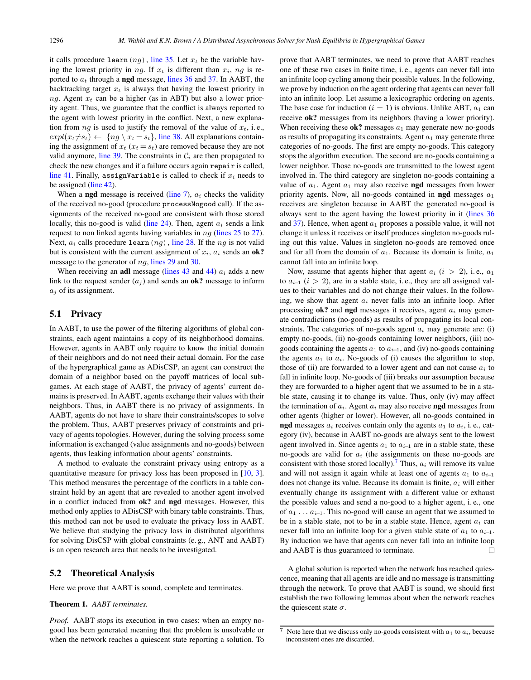<span id="page-6-0"></span>it calls procedure learn  $(nq)$ , [line 35.](#page-5-0) Let  $x_t$  be the variable having the lowest priority in ng. If  $x_t$  is different than  $x_i$ , nq is reported to  $a_t$  through a **ngd** message, [lines 36](#page-5-0) and [37.](#page-5-0) In AABT, the backtracking target  $x_t$  is always that having the lowest priority in  $nq$ . Agent  $x_t$  can be a higher (as in ABT) but also a lower priority agent. Thus, we guarantee that the conflict is always reported to the agent with lowest priority in the conflict. Next, a new explanation from  $ng$  is used to justify the removal of the value of  $x_t$ , i.e.,  $expl(x_t \neq s_t) \leftarrow \{ng \setminus x_t = s_t\}$ , [line 38.](#page-5-0) All explanations containing the assignment of  $x_t$  ( $x_t = s_t$ ) are removed because they are not valid anymore, [line 39.](#page-5-0) The constraints in  $\mathcal{C}_i$  are then propagated to check the new changes and if a failure occurs again repair is called, [line 41.](#page-5-0) Finally, assignVariable is called to check if  $x_i$  needs to be assigned [\(line 42\)](#page-5-0).

When a **ngd** message is received [\(line 7\)](#page-5-0),  $a_i$  checks the validity of the received no-good (procedure processNogood call). If the assignments of the received no-good are consistent with those stored locally, this no-good is valid [\(line 24\)](#page-5-0). Then, agent  $a_i$  sends a link request to non linked agents having variables in  $ng$  [\(lines 25](#page-5-0) to [27\)](#page-5-0). Next,  $a_i$  calls procedure learn  $(nq)$ , [line 28.](#page-5-0) If the  $ng$  is not valid but is consistent with the current assignment of  $x_i$ ,  $a_i$  sends an ok? message to the generator of  $ng$ , [lines 29](#page-5-0) and [30.](#page-5-0)

When receiving an **adl** message [\(lines 43](#page-5-0) and [44\)](#page-5-0)  $a_i$  adds a new link to the request sender  $(a_i)$  and sends an **ok?** message to inform  $a_i$  of its assignment.

#### 5.1 Privacy

In AABT, to use the power of the filtering algorithms of global constraints, each agent maintains a copy of its neighborhood domains. However, agents in AABT only require to know the initial domain of their neighbors and do not need their actual domain. For the case of the hypergraphical game as ADisCSP, an agent can construct the domain of a neighbor based on the payoff matrices of local subgames. At each stage of AABT, the privacy of agents' current domains is preserved. In AABT, agents exchange their values with their neighbors. Thus, in AABT there is no privacy of assignments. In AABT, agents do not have to share their constraints/scopes to solve the problem. Thus, AABT preserves privacy of constraints and privacy of agents topologies. However, during the solving process some information is exchanged (value assignments and no-goods) between agents, thus leaking information about agents' constraints.

A method to evaluate the constraint privacy using entropy as a quantitative measure for privacy loss has been proposed in [\[10,](#page-9-0) [3\]](#page-9-0). This method measures the percentage of the conflicts in a table constraint held by an agent that are revealed to another agent involved in a conflict induced from ok? and ngd messages. However, this method only applies to ADisCSP with binary table constraints. Thus, this method can not be used to evaluate the privacy loss in AABT. We believe that studying the privacy loss in distributed algorithms for solving DisCSP with global constraints (e. g., ANT and AABT) is an open research area that needs to be investigated.

#### 5.2 Theoretical Analysis

Here we prove that AABT is sound, complete and terminates.

#### Theorem 1. *AABT terminates.*

*Proof.* AABT stops its execution in two cases: when an empty nogood has been generated meaning that the problem is unsolvable or when the network reaches a quiescent state reporting a solution. To prove that AABT terminates, we need to prove that AABT reaches one of these two cases in finite time, i. e., agents can never fall into an infinite loop cycling among their possible values. In the following, we prove by induction on the agent ordering that agents can never fall into an infinite loop. Let assume a lexicographic ordering on agents. The base case for induction ( $i = 1$ ) is obvious. Unlike ABT,  $a_1$  can receive ok? messages from its neighbors (having a lower priority). When receiving these  $ok?$  messages  $a_1$  may generate new no-goods as results of propagating its constraints. Agent  $a_1$  may generate three categories of no-goods. The first are empty no-goods. This category stops the algorithm execution. The second are no-goods containing a lower neighbor. Those no-goods are transmitted to the lowest agent involved in. The third category are singleton no-goods containing a value of  $a_1$ . Agent  $a_1$  may also receive **ngd** messages from lower priority agents. Now, all no-goods contained in **ngd** messages  $a_1$ receives are singleton because in AABT the generated no-good is always sent to the agent having the lowest priority in it [\(lines 36](#page-5-0) and  $37$ ). Hence, when agent  $a_1$  proposes a possible value, it will not change it unless it receives or itself produces singleton no-goods ruling out this value. Values in singleton no-goods are removed once and for all from the domain of  $a_1$ . Because its domain is finite,  $a_1$ cannot fall into an infinite loop.

Now, assume that agents higher that agent  $a_i$  ( $i > 2$ ), i.e.,  $a_1$ to  $a_{i-1}$  (i > 2), are in a stable state, i.e., they are all assigned values to their variables and do not change their values. In the following, we show that agent  $a_i$  never falls into an infinite loop. After processing  $ok$ ? and ngd messages it receives, agent  $a_i$  may generate contradictions (no-goods) as results of propagating its local constraints. The categories of no-goods agent  $a_i$  may generate are: (i) empty no-goods, (ii) no-goods containing lower neighbors, (iii) nogoods containing the agents  $a_1$  to  $a_{i-1}$ , and (iv) no-goods containing the agents  $a_1$  to  $a_i$ . No-goods of (i) causes the algorithm to stop, those of (ii) are forwarded to a lower agent and can not cause  $a_i$  to fall in infinite loop. No-goods of (iii) breaks our assumption because they are forwarded to a higher agent that we assumed to be in a stable state, causing it to change its value. Thus, only (iv) may affect the termination of  $a_i$ . Agent  $a_i$  may also receive **ngd** messages from other agents (higher or lower). However, all no-goods contained in ngd messages  $a_i$  receives contain only the agents  $a_1$  to  $a_i$ , i.e., category (iv), because in AABT no-goods are always sent to the lowest agent involved in. Since agents  $a_1$  to  $a_{i-1}$  are in a stable state, these no-goods are valid for  $a_i$  (the assignments on these no-goods are consistent with those stored locally). Thus,  $a_i$  will remove its value and will not assign it again while at least one of agents  $a_1$  to  $a_{i-1}$ does not change its value. Because its domain is finite,  $a_i$  will either eventually change its assignment with a different value or exhaust the possible values and send a no-good to a higher agent, i. e., one of  $a_1 \ldots a_{i-1}$ . This no-good will cause an agent that we assumed to be in a stable state, not to be in a stable state. Hence, agent  $a_i$  can never fall into an infinite loop for a given stable state of  $a_1$  to  $a_{i-1}$ . By induction we have that agents can never fall into an infinite loop and AABT is thus guaranteed to terminate.  $\Box$ 

A global solution is reported when the network has reached quiescence, meaning that all agents are idle and no message is transmitting through the network. To prove that AABT is sound, we should first establish the two following lemmas about when the network reaches the quiescent state  $\sigma$ .

<sup>&</sup>lt;sup>7</sup> Note here that we discuss only no-goods consistent with  $a_1$  to  $a_i$ , because inconsistent ones are discarded.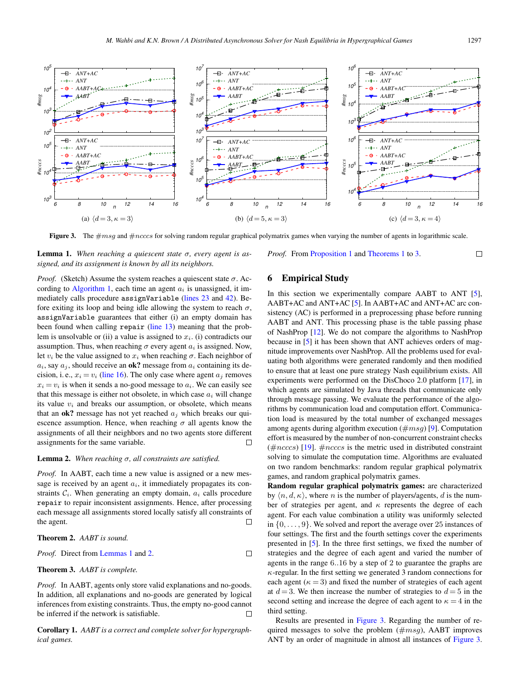<span id="page-7-0"></span>

**Figure 3.** The  $\#msg$  and  $\#ncccs$  for solving random regular graphical polymatrix games when varying the number of agents in logarithmic scale.

Lemma 1. *When reaching a quiescent state* σ*, every agent is assigned, and its assignment is known by all its neighbors.*

*Proof.* (Sketch) Assume the system reaches a quiescent state  $\sigma$ . Ac-cording to [Algorithm 1,](#page-5-0) each time an agent  $a_i$  is unassigned, it immediately calls procedure assignVariable [\(lines 23](#page-5-0) and [42\)](#page-5-0). Before exiting its loop and being idle allowing the system to reach  $\sigma$ , assignVariable guarantees that either (i) an empty domain has been found when calling repair [\(line 13\)](#page-5-0) meaning that the problem is unsolvable or (ii) a value is assigned to  $x_i$ . (i) contradicts our assumption. Thus, when reaching  $\sigma$  every agent  $a_i$  is assigned. Now, let  $v_i$  be the value assigned to  $x_i$  when reaching  $\sigma$ . Each neighbor of  $a_i$ , say  $a_j$ , should receive an **ok?** message from  $a_i$  containing its decision, i. e.,  $x_i = v_i$  [\(line 16\)](#page-5-0). The only case where agent  $a_i$  removes  $x_i = v_i$  is when it sends a no-good message to  $a_i$ . We can easily see that this message is either not obsolete, in which case  $a_i$  will change its value  $v_i$  and breaks our assumption, or obsolete, which means that an  $ok$ ? message has not yet reached  $a_i$  which breaks our quiescence assumption. Hence, when reaching  $\sigma$  all agents know the assignments of all their neighbors and no two agents store different assignments for the same variable.  $\Box$ 

#### Lemma 2. *When reaching* σ*, all constraints are satisfied.*

*Proof.* In AABT, each time a new value is assigned or a new message is received by an agent  $a_i$ , it immediately propagates its constraints  $C_i$ . When generating an empty domain,  $a_i$  calls procedure repair to repair inconsistent assignments. Hence, after processing each message all assignments stored locally satisfy all constraints of the agent.  $\Box$ 

Theorem 2. *AABT is sound.*

*Proof.* Direct from **Lemma** 1 and 2. 
$$
\Box
$$

Theorem 3. *AABT is complete.*

*Proof.* In AABT, agents only store valid explanations and no-goods. In addition, all explanations and no-goods are generated by logical inferences from existing constraints. Thus, the empty no-good cannot be inferred if the network is satisfiable.  $\Box$ 

Corollary 1. *AABT is a correct and complete solver for hypergraphical games.*

#### 6 Empirical Study

*Proof.* From [Proposition 1](#page-3-0) and [Theorems 1](#page-6-0) to 3.

In this section we experimentally compare AABT to ANT [\[5\]](#page-9-0), AABT+AC and ANT+AC [\[5\]](#page-9-0). In AABT+AC and ANT+AC arc consistency (AC) is performed in a preprocessing phase before running AABT and ANT. This processing phase is the table passing phase of NashProp [\[12\]](#page-9-0). We do not compare the algorithms to NashProp because in [\[5\]](#page-9-0) it has been shown that ANT achieves orders of magnitude improvements over NashProp. All the problems used for evaluating both algorithms were generated randomly and then modified to ensure that at least one pure strategy Nash equilibrium exists. All experiments were performed on the DisChoco 2.0 platform [\[17\]](#page-9-0), in which agents are simulated by Java threads that communicate only through message passing. We evaluate the performance of the algorithms by communication load and computation effort. Communication load is measured by the total number of exchanged messages among agents during algorithm execution  $(\#msg)$  [\[9\]](#page-9-0). Computation effort is measured by the number of non-concurrent constraint checks  $(\text{th} \, \text{ncccs})$  [\[19\]](#page-9-0).  $\text{th} \, \text{ncccs}$  is the metric used in distributed constraint solving to simulate the computation time. Algorithms are evaluated on two random benchmarks: random regular graphical polymatrix games, and random graphical polymatrix games.

Random regular graphical polymatrix games: are characterized by  $\langle n, d, \kappa \rangle$ , where n is the number of players/agents, d is the number of strategies per agent, and  $\kappa$  represents the degree of each agent. For each value combination a utility was uniformly selected in  $\{0,\ldots,9\}$ . We solved and report the average over 25 instances of four settings. The first and the fourth settings cover the experiments presented in [\[5\]](#page-9-0). In the three first settings, we fixed the number of strategies and the degree of each agent and varied the number of agents in the range 6..16 by a step of 2 to guarantee the graphs are  $\kappa$ -regular. In the first setting we generated 3 random connections for each agent ( $\kappa = 3$ ) and fixed the number of strategies of each agent at  $d = 3$ . We then increase the number of strategies to  $d = 5$  in the second setting and increase the degree of each agent to  $\kappa = 4$  in the third setting.

Results are presented in Figure 3. Regarding the number of required messages to solve the problem  $(\#msg)$ , AABT improves ANT by an order of magnitude in almost all instances of Figure 3.

 $\Box$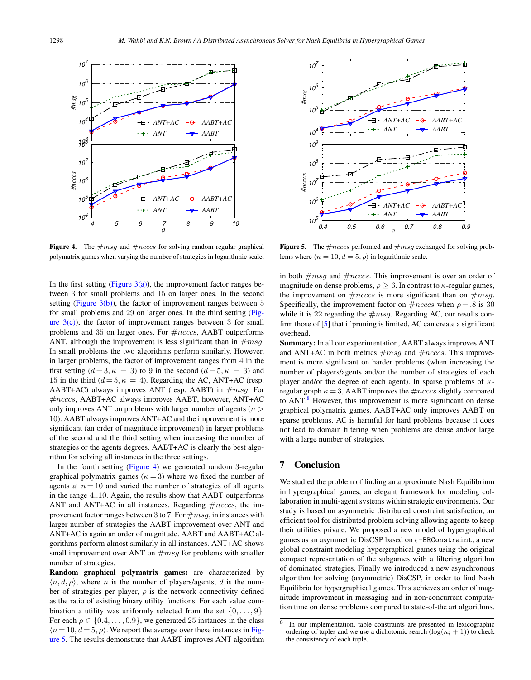

Figure 4. The  $\#msg$  and  $\#ncccs$  for solving random regular graphical polymatrix games when varying the number of strategies in logarithmic scale.

In the first setting (Figure  $3(a)$ ), the improvement factor ranges between 3 for small problems and 15 on larger ones. In the second setting (Figure  $3(b)$ ), the factor of improvement ranges between 5 for small problems and 29 on larger ones. In the third setting [\(Fig](#page-7-0)ure  $3(c)$ ), the factor of improvement ranges between 3 for small problems and 35 on larger ones. For  $\#ncccs$ , AABT outperforms ANT, although the improvement is less significant than in  $\#msq$ . In small problems the two algorithms perform similarly. However, in larger problems, the factor of improvement ranges from 4 in the first setting  $(d = 3, \kappa = 3)$  to 9 in the second  $(d = 5, \kappa = 3)$  and 15 in the third ( $d = 5, \kappa = 4$ ). Regarding the AC, ANT+AC (resp. AABT+AC) always improves ANT (resp. AABT) in  $\#msg$ . For #ncccs, AABT+AC always improves AABT, however, ANT+AC only improves ANT on problems with larger number of agents ( $n >$ 10). AABT always improves ANT+AC and the improvement is more significant (an order of magnitude improvement) in larger problems of the second and the third setting when increasing the number of strategies or the agents degrees. AABT+AC is clearly the best algorithm for solving all instances in the three settings.

In the fourth setting (Figure 4) we generated random 3-regular graphical polymatrix games ( $\kappa = 3$ ) where we fixed the number of agents at  $n = 10$  and varied the number of strategies of all agents in the range 4..10. Again, the results show that AABT outperforms ANT and ANT+AC in all instances. Regarding  $\#ncccs$ , the improvement factor ranges between 3 to 7. For  $\#msg$ , in instances with larger number of strategies the AABT improvement over ANT and ANT+AC is again an order of magnitude. AABT and AABT+AC algorithms perform almost similarly in all instances. ANT+AC shows small improvement over ANT on  $\#msq$  for problems with smaller number of strategies.

Random graphical polymatrix games: are characterized by  $\langle n, d, \rho \rangle$ , where *n* is the number of players/agents, *d* is the number of strategies per player,  $\rho$  is the network connectivity defined as the ratio of existing binary utility functions. For each value combination a utility was uniformly selected from the set  $\{0, \ldots, 9\}$ . For each  $\rho \in \{0.4, \ldots, 0.9\}$ , we generated 25 instances in the class  $(n=10, d=5, \rho)$ . We report the average over these instances in Figure 5. The results demonstrate that AABT improves ANT algorithm



**Figure 5.** The  $\#ncccs$  performed and  $\#msg$  exchanged for solving problems where  $\langle n = 10, d = 5, \rho \rangle$  in logarithmic scale.

in both  $\#msg$  and  $\#ncccs$ . This improvement is over an order of magnitude on dense problems,  $\rho \geq 6$ . In contrast to  $\kappa$ -regular games, the improvement on  $\#ncccs$  is more significant than on  $\#msg$ . Specifically, the improvement factor on  $\text{\#}ncccs$  when  $\rho = .8$  is 30 while it is 22 regarding the  $\#msg$ . Regarding AC, our results confirm those of [\[5\]](#page-9-0) that if pruning is limited, AC can create a significant overhead.

Summary: In all our experimentation, AABT always improves ANT and ANT+AC in both metrics  $\#msg$  and  $\#ncccs$ . This improvement is more significant on harder problems (when increasing the number of players/agents and/or the number of strategies of each player and/or the degree of each agent). In sparse problems of  $\kappa$ regular graph  $\kappa = 3$ , AABT improves the  $\#ncccs$  slightly compared to ANT.<sup>8</sup> However, this improvement is more significant on dense graphical polymatrix games. AABT+AC only improves AABT on sparse problems. AC is harmful for hard problems because it does not lead to domain filtering when problems are dense and/or large with a large number of strategies.

#### 7 Conclusion

We studied the problem of finding an approximate Nash Equilibrium in hypergraphical games, an elegant framework for modeling collaboration in multi-agent systems within strategic environments. Our study is based on asymmetric distributed constraint satisfaction, an efficient tool for distributed problem solving allowing agents to keep their utilities private. We proposed a new model of hypergraphical games as an asymmetric DisCSP based on  $\epsilon$ -BRConstraint, a new global constraint modeling hypergraphical games using the original compact representation of the subgames with a filtering algorithm of dominated strategies. Finally we introduced a new asynchronous algorithm for solving (asymmetric) DisCSP, in order to find Nash Equilibria for hypergraphical games. This achieves an order of magnitude improvement in messaging and in non-concurrent computation time on dense problems compared to state-of-the art algorithms.

<sup>8</sup> In our implementation, table constraints are presented in lexicographic ordering of tuples and we use a dichotomic search  $(\log(\kappa_i + 1))$  to check the consistency of each tuple.